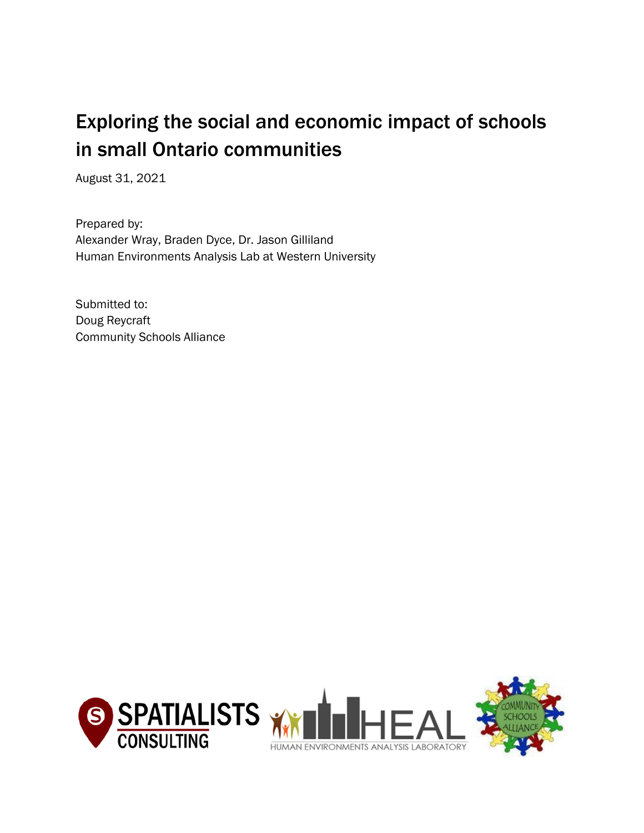# Exploring the social and economic impact of schools in small Ontario communities

August 31, 2021

Prepared by: Alexander Wray, Braden Dyce, Dr. Jason Gilliland Human Environments Analysis Lab at Western University

Submitted to: Doug Reycraft Community Schools Alliance





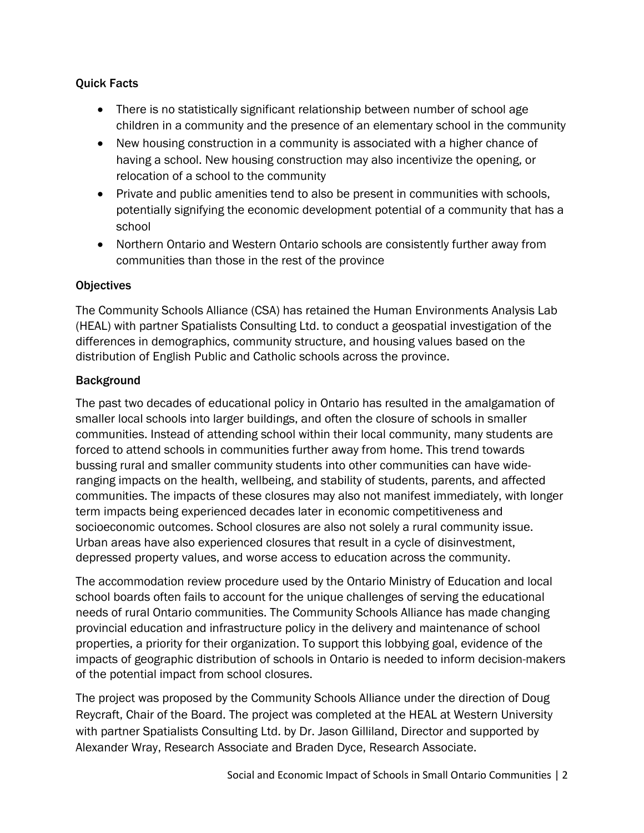# Quick Facts

- There is no statistically significant relationship between number of school age children in a community and the presence of an elementary school in the community
- New housing construction in a community is associated with a higher chance of having a school. New housing construction may also incentivize the opening, or relocation of a school to the community
- Private and public amenities tend to also be present in communities with schools, potentially signifying the economic development potential of a community that has a school
- Northern Ontario and Western Ontario schools are consistently further away from communities than those in the rest of the province

# **Objectives**

The Community Schools Alliance (CSA) has retained the Human Environments Analysis Lab (HEAL) with partner Spatialists Consulting Ltd. to conduct a geospatial investigation of the differences in demographics, community structure, and housing values based on the distribution of English Public and Catholic schools across the province.

# Background

The past two decades of educational policy in Ontario has resulted in the amalgamation of smaller local schools into larger buildings, and often the closure of schools in smaller communities. Instead of attending school within their local community, many students are forced to attend schools in communities further away from home. This trend towards bussing rural and smaller community students into other communities can have wideranging impacts on the health, wellbeing, and stability of students, parents, and affected communities. The impacts of these closures may also not manifest immediately, with longer term impacts being experienced decades later in economic competitiveness and socioeconomic outcomes. School closures are also not solely a rural community issue. Urban areas have also experienced closures that result in a cycle of disinvestment, depressed property values, and worse access to education across the community.

The accommodation review procedure used by the Ontario Ministry of Education and local school boards often fails to account for the unique challenges of serving the educational needs of rural Ontario communities. The Community Schools Alliance has made changing provincial education and infrastructure policy in the delivery and maintenance of school properties, a priority for their organization. To support this lobbying goal, evidence of the impacts of geographic distribution of schools in Ontario is needed to inform decision-makers of the potential impact from school closures.

The project was proposed by the Community Schools Alliance under the direction of Doug Reycraft, Chair of the Board. The project was completed at the HEAL at Western University with partner Spatialists Consulting Ltd. by Dr. Jason Gilliland, Director and supported by Alexander Wray, Research Associate and Braden Dyce, Research Associate.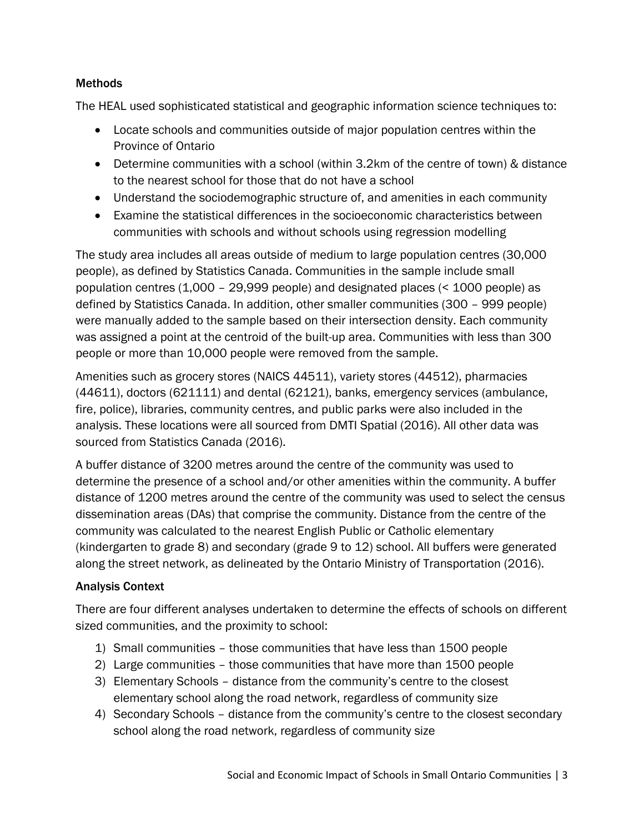# **Methods**

The HEAL used sophisticated statistical and geographic information science techniques to:

- Locate schools and communities outside of major population centres within the Province of Ontario
- Determine communities with a school (within 3.2km of the centre of town) & distance to the nearest school for those that do not have a school
- Understand the sociodemographic structure of, and amenities in each community
- Examine the statistical differences in the socioeconomic characteristics between communities with schools and without schools using regression modelling

The study area includes all areas outside of medium to large population centres (30,000 people), as defined by Statistics Canada. Communities in the sample include small population centres (1,000 – 29,999 people) and designated places (< 1000 people) as defined by Statistics Canada. In addition, other smaller communities (300 – 999 people) were manually added to the sample based on their intersection density. Each community was assigned a point at the centroid of the built-up area. Communities with less than 300 people or more than 10,000 people were removed from the sample.

Amenities such as grocery stores (NAICS 44511), variety stores (44512), pharmacies (44611), doctors (621111) and dental (62121), banks, emergency services (ambulance, fire, police), libraries, community centres, and public parks were also included in the analysis. These locations were all sourced from DMTI Spatial (2016). All other data was sourced from Statistics Canada (2016).

A buffer distance of 3200 metres around the centre of the community was used to determine the presence of a school and/or other amenities within the community. A buffer distance of 1200 metres around the centre of the community was used to select the census dissemination areas (DAs) that comprise the community. Distance from the centre of the community was calculated to the nearest English Public or Catholic elementary (kindergarten to grade 8) and secondary (grade 9 to 12) school. All buffers were generated along the street network, as delineated by the Ontario Ministry of Transportation (2016).

# Analysis Context

There are four different analyses undertaken to determine the effects of schools on different sized communities, and the proximity to school:

- 1) Small communities those communities that have less than 1500 people
- 2) Large communities those communities that have more than 1500 people
- 3) Elementary Schools distance from the community's centre to the closest elementary school along the road network, regardless of community size
- 4) Secondary Schools distance from the community's centre to the closest secondary school along the road network, regardless of community size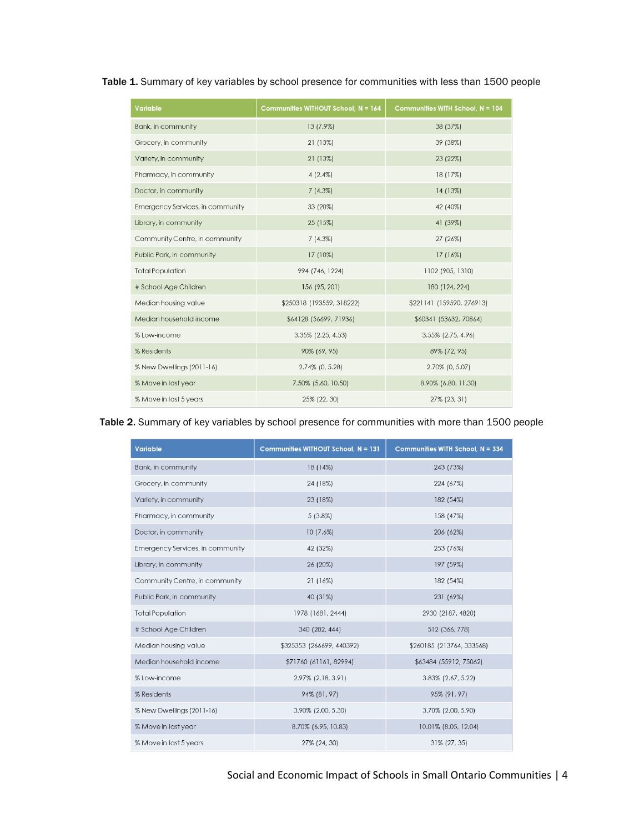#### Table 1. Summary of key variables by school presence for communities with less than 1500 people

| <b>Variable</b>                  | Communities WITHOUT School, N = 164 | Communities WITH School, N = 104 |  |  |
|----------------------------------|-------------------------------------|----------------------------------|--|--|
| Bank, in community               | 13(7.9%)                            | 38 (37%)                         |  |  |
| Grocery, in community            | 21 (13%)                            | 39 (38%)                         |  |  |
| Variety, in community            | 21 (13%)                            | 23 (22%)                         |  |  |
| Pharmacy, in community           | $4(2.4\%)$                          | 18 (17%)                         |  |  |
| Doctor, in community             | $7(4.3\%)$                          | 14 (13%)                         |  |  |
| Emergency Services, in community | 33 (20%)                            | 42 (40%)                         |  |  |
| Library, in community            | 25 (15%)                            | 41 (39%)                         |  |  |
| Community Centre, in community   | 7(4.3%)                             | 27 (26%)                         |  |  |
| Public Park, in community        | $17(10\%)$                          | 17(16%)                          |  |  |
| <b>Total Population</b>          | 994 (746, 1224)                     | 1102 (905, 1310)                 |  |  |
| # School Age Children            | 156 (95, 201)                       | 180 (124, 224)                   |  |  |
| Median housing value             | \$250318 (193559, 318222)           | \$221141 (159590, 276913)        |  |  |
| Median household income          | \$64128 (56699, 71936)              | \$60341 (53632, 70864)           |  |  |
| % Low-income                     | 3.35% (2.25, 4.53)                  | 3.55% (2.75, 4.96)               |  |  |
| % Residents                      | 90% (69, 95)                        | 89% (72, 95)                     |  |  |
| % New Dwellings (2011-16)        | 2.74% (0, 5.28)                     | 2.70% (0, 5.07)                  |  |  |
| % Move in last year              | 7.50% (5.60, 10.50)                 | 8.90% (6.80, 11.30)              |  |  |
| % Move in last 5 years           | 25% (22, 30)                        | 27% (23, 31)                     |  |  |

#### Table 2. Summary of key variables by school presence for communities with more than 1500 people

| <b>Variable</b>                  | Communities WITHOUT School, N = 131 | Communities WITH School, N = 334 |  |  |
|----------------------------------|-------------------------------------|----------------------------------|--|--|
| Bank, in community               | 18 (14%)                            | 243 (73%)                        |  |  |
| Grocery, in community            | 24 (18%)                            | 224 (67%)                        |  |  |
| Variety, in community            | 23 (18%)                            | 182 (54%)                        |  |  |
| Pharmacy, in community           | $5(3.8\%)$                          | 158 (47%)                        |  |  |
| Doctor, in community             | $10(7.6\%)$                         | 206 (62%)                        |  |  |
| Emergency Services, in community | 42 (32%)                            | 253 (76%)                        |  |  |
| Library, in community            | 26 (20%)                            | 197 (59%)                        |  |  |
| Community Centre, in community   | 21 (16%)                            | 182 (54%)                        |  |  |
| Public Park, in community        | 40 (31%)                            | 231 (69%)                        |  |  |
| <b>Total Population</b>          | 1978 (1681, 2444)                   | 2930 (2187, 4820)                |  |  |
| # School Age Children            | 340 (282, 444)                      | 512 (366, 778)                   |  |  |
| Median housing value             | \$325353 (266699, 440392)           | \$260185 (213764, 333568)        |  |  |
| Median household income          | \$71760 (61161, 82994)              | \$63484 (55912, 75062)           |  |  |
| % Low-income                     | 2.97% (2.18, 3.91)                  | 3.83% (2.67, 5.22)               |  |  |
| % Residents                      | 94% (81, 97)                        | 95% (91, 97)                     |  |  |
| % New Dwellings (2011-16)        | 3.90% (2.00, 5.30)                  | 3.70% (2.00, 5.90)               |  |  |
| % Move in last year              | 8.70% (6.95, 10.83)                 | 10.01% (8.05, 12.04)             |  |  |
| % Move in last 5 years           | 27% (24, 30)                        | 31% (27, 35)                     |  |  |

#### Social and Economic Impact of Schools in Small Ontario Communities | 4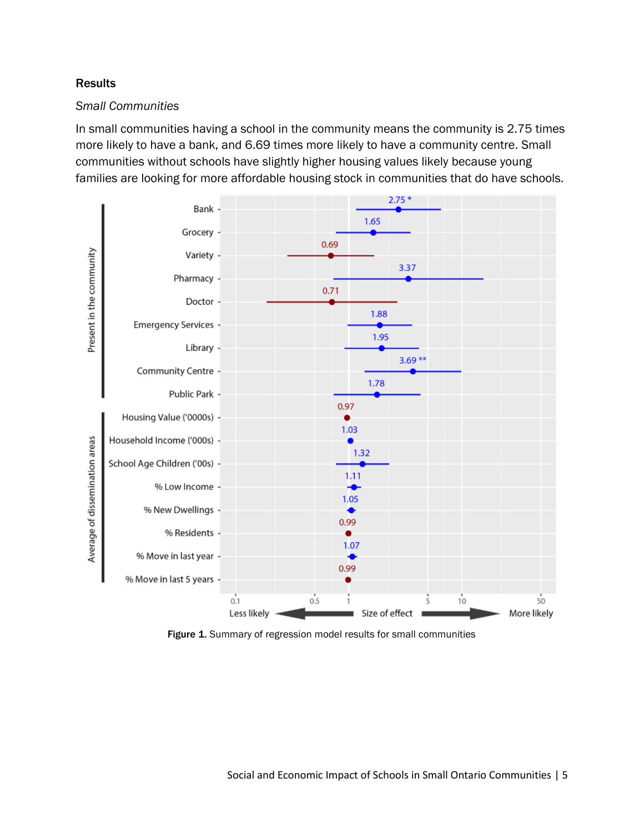#### **Results**

#### *Small Communities*

In small communities having a school in the community means the community is 2.75 times more likely to have a bank, and 6.69 times more likely to have a community centre. Small communities without schools have slightly higher housing values likely because young families are looking for more affordable housing stock in communities that do have schools.



Figure 1. Summary of regression model results for small communities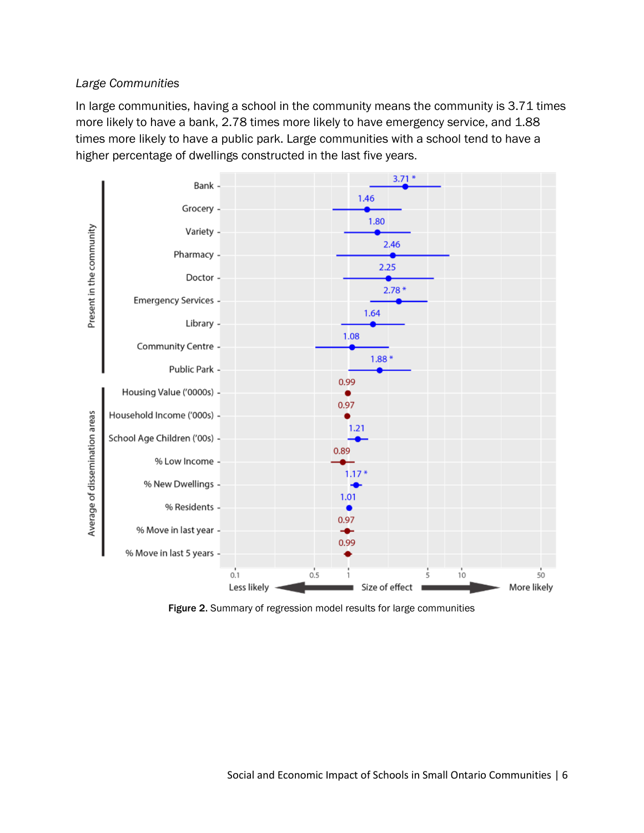### *Large Communities*

In large communities, having a school in the community means the community is 3.71 times more likely to have a bank, 2.78 times more likely to have emergency service, and 1.88 times more likely to have a public park. Large communities with a school tend to have a higher percentage of dwellings constructed in the last five years.



Figure 2. Summary of regression model results for large communities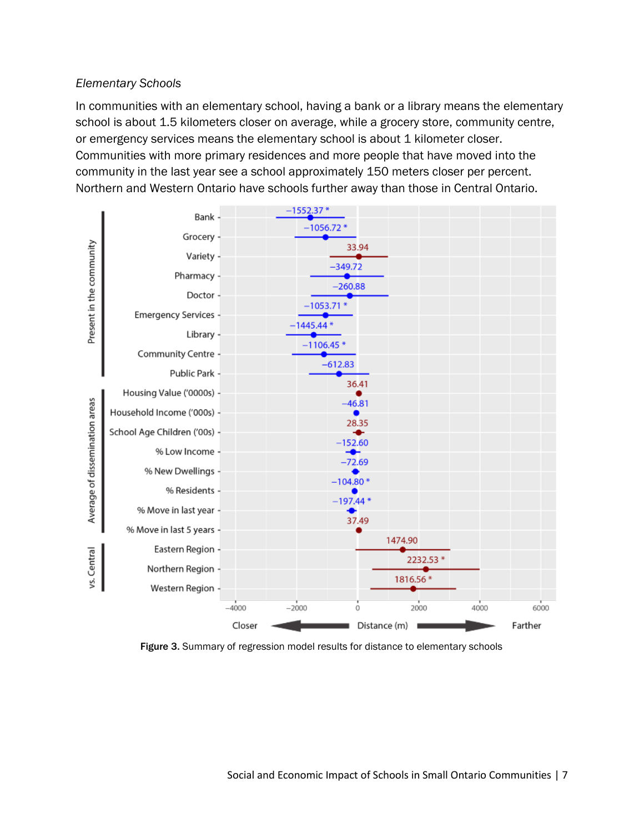### *Elementary Schools*

In communities with an elementary school, having a bank or a library means the elementary school is about 1.5 kilometers closer on average, while a grocery store, community centre, or emergency services means the elementary school is about 1 kilometer closer. Communities with more primary residences and more people that have moved into the community in the last year see a school approximately 150 meters closer per percent. Northern and Western Ontario have schools further away than those in Central Ontario.

|                                | Bank -<br>Grocery -                                    |                   | $-1552.37*$<br>$-1056.72*$ |                        |                       |      |                 |
|--------------------------------|--------------------------------------------------------|-------------------|----------------------------|------------------------|-----------------------|------|-----------------|
| Present in the community       | Variety -                                              |                   |                            | 33.94<br>$-349.72$     |                       |      |                 |
|                                | Pharmacy -<br>Doctor -                                 |                   | $-1053.71*$                | $-260.88$              |                       |      |                 |
|                                | Emergency Services -<br>Library -                      |                   | 1445.44 *                  |                        |                       |      |                 |
| Average of dissemination areas | Community Centre -<br>Public Park -                    |                   | $-1106.45*$                | $-612.83$              |                       |      |                 |
|                                | Housing Value ('0000s) -<br>Household Income ('000s) - |                   |                            | 36.41<br>$-46.81$      |                       |      |                 |
|                                | School Age Children ('00s) -<br>% Low Income -         |                   |                            | 28.35<br>$-152.60$     |                       |      |                 |
|                                | % New Dwellings -                                      |                   |                            | $-72.69$<br>$-104.80*$ |                       |      |                 |
|                                | % Residents -<br>% Move in last year -                 |                   |                            | $-197.44*$<br>37.49    |                       |      |                 |
|                                | % Move in last 5 years -<br>Eastern Region -           |                   |                            |                        | 1474.90               |      |                 |
| vs. Central                    | Northern Region -<br>Western Region -                  |                   |                            |                        | 2232.53 *<br>1816.56* |      |                 |
|                                |                                                        | $-4000$<br>Closer | $-2000$                    | ó                      | 2000<br>Distance (m)  | 4000 | 6000<br>Farther |

Figure 3. Summary of regression model results for distance to elementary schools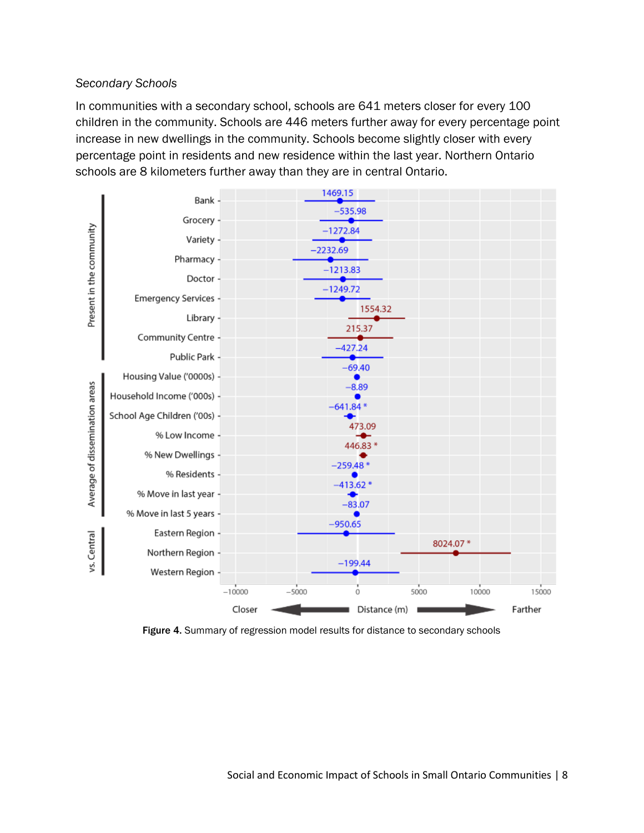#### *Secondary Schools*

In communities with a secondary school, schools are 641 meters closer for every 100 children in the community. Schools are 446 meters further away for every percentage point increase in new dwellings in the community. Schools become slightly closer with every percentage point in residents and new residence within the last year. Northern Ontario schools are 8 kilometers further away than they are in central Ontario.

|                                | Bank -                       |          |         | 1469.15<br>$-535.98$ |      |          |         |
|--------------------------------|------------------------------|----------|---------|----------------------|------|----------|---------|
| Present in the community       | Grocery -                    |          |         |                      |      |          |         |
|                                | Variety -                    |          |         | $-1272.84$           |      |          |         |
|                                | Pharmacy -                   |          |         | $-2232.69$           |      |          |         |
|                                | Doctor -                     |          |         | $-1213.83$           |      |          |         |
|                                |                              |          |         | $-1249.72$           |      |          |         |
|                                | Emergency Services -         |          |         | 1554.32              |      |          |         |
|                                | Library -                    |          |         | 215.37               |      |          |         |
|                                | Community Centre -           |          |         | $-427.24$            |      |          |         |
|                                | Public Park -                |          |         |                      |      |          |         |
|                                | Housing Value ('0000s) -     |          |         | $-69.40$             |      |          |         |
|                                | Household Income ('000s) -   |          |         | $-8.89$              |      |          |         |
| Average of dissemination areas | School Age Children ('00s) - |          |         | $-641.84*$           |      |          |         |
|                                |                              |          |         | 473.09               |      |          |         |
|                                | % Low Income -               |          |         | 446.83*              |      |          |         |
|                                | % New Dwellings -            |          |         | $-259.48*$           |      |          |         |
|                                | % Residents -                |          |         | $-413.62*$           |      |          |         |
|                                | % Move in last year -        |          |         |                      |      |          |         |
|                                | % Move in last 5 years -     |          |         | $-83.07$             |      |          |         |
|                                | Eastern Region -             |          |         | $-950.65$            |      |          |         |
|                                | Northern Region -            |          |         |                      |      | 8024.07* |         |
| vs. Central                    |                              |          |         | $-199.44$            |      |          |         |
|                                | Western Region -             |          |         |                      |      |          |         |
|                                |                              | $-10000$ | $-5000$ | $\frac{1}{0}$        | 5000 | 10000    | 15000   |
|                                |                              | Closer   |         | Distance (m)         |      |          | Farther |

Figure 4. Summary of regression model results for distance to secondary schools